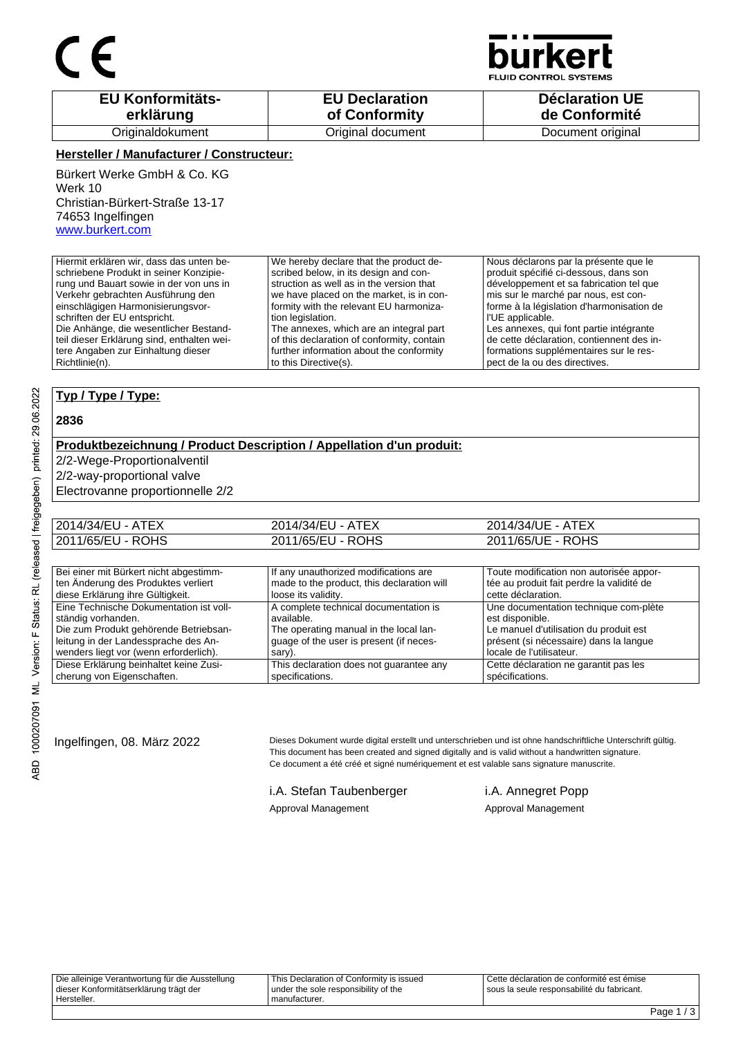

**JID CONTROL SYSTEMS** 

| <b>EU Konformitäts-</b> | <b>EU Declaration</b> | <b>Déclaration UE</b> |
|-------------------------|-----------------------|-----------------------|
| erklärung               | of Conformity         | de Conformité         |
| Originaldokument        | Original document     | Document original     |

#### **Hersteller / Manufacturer / Constructeur:**

Bürkert Werke GmbH & Co. KG Werk 10 Christian-Bürkert-Straße 13-17 74653 Ingelfingen www.burkert.com

Hiermit erklären wir, dass das unten beschriebene Produkt in seiner Konzipierung und Bauart sowie in der von uns in Verkehr gebrachten Ausführung den einschlägigen Harmonisierungsvorschriften der EU entspricht. Die Anhänge, die wesentlicher Bestandteil dieser Erklärung sind, enthalten weitere Angaben zur Einhaltung dieser We hereby declare that the product described below, in its design and construction as well as in the version that we have placed on the market, is in conformity with the relevant EU harmonization legislation. The annexes, which are an integral part of this declaration of conformity, contain further information about the conformity

to this Directive(s).

Nous déclarons par la présente que le produit spécifié ci-dessous, dans son développement et sa fabrication tel que mis sur le marché par nous, est conforme à la législation d'harmonisation de l'UE applicable. Les annexes, qui font partie intégrante

de cette déclaration, contiennent des informations supplémentaires sur le respect de la ou des directives.

### **Typ / Type / Type:**

#### **2836**

Richtlinie(n).

#### **Produktbezeichnung / Product Description / Appellation d'un produit:**

2/2-Wege-Proportionalventil

2/2-way-proportional valve

Electrovanne proportionnelle 2/2

| 2014/34/EU - ATEX | 2014/34/EU - ATEX | 2014/34/UE - ATEX |
|-------------------|-------------------|-------------------|
| 2011/65/EU - ROHS | 2011/65/EU - ROHS | 2011/65/UE - ROHS |

| Bei einer mit Bürkert nicht abgestimm-  | If any unauthorized modifications are      | Toute modification non autorisée appor-   |
|-----------------------------------------|--------------------------------------------|-------------------------------------------|
| ten Änderung des Produktes verliert     | made to the product, this declaration will | tée au produit fait perdre la validité de |
| diese Erklärung ihre Gültigkeit.        | loose its validity.                        | cette déclaration.                        |
| Eine Technische Dokumentation ist voll- | A complete technical documentation is      | Une documentation technique com-plète     |
| ständig vorhanden.                      | available.                                 | est disponible.                           |
| Die zum Produkt gehörende Betriebsan-   | The operating manual in the local lan-     | Le manuel d'utilisation du produit est    |
| leitung in der Landessprache des An-    | guage of the user is present (if neces-    | présent (si nécessaire) dans la langue    |
| wenders liegt vor (wenn erforderlich).  | sary).                                     | locale de l'utilisateur.                  |
| Diese Erklärung beinhaltet keine Zusi-  | This declaration does not guarantee any    | Cette déclaration ne garantit pas les     |
| cherung von Eigenschaften.              | specifications.                            | spécifications.                           |

Ingelfingen, 08. März 2022 Dieses Dokument wurde digital erstellt und unterschrieben und ist ohne handschriftliche Unterschrift gültig. This document has been created and signed digitally and is valid without a handwritten signature. Ce document a été créé et signé numériquement et est valable sans signature manuscrite.

i.A. Stefan Taubenberger i.A. Annegret Popp

Approval Management Approval Management

Die alleinige Verantwortung für die Ausstellung dieser Konformitätserklärung trägt der Hersteller. This Declaration of Conformity is issued under the sole responsibility of the manufacturer. Cette déclaration de conformité est émise sous la seule responsabilité du fabricant.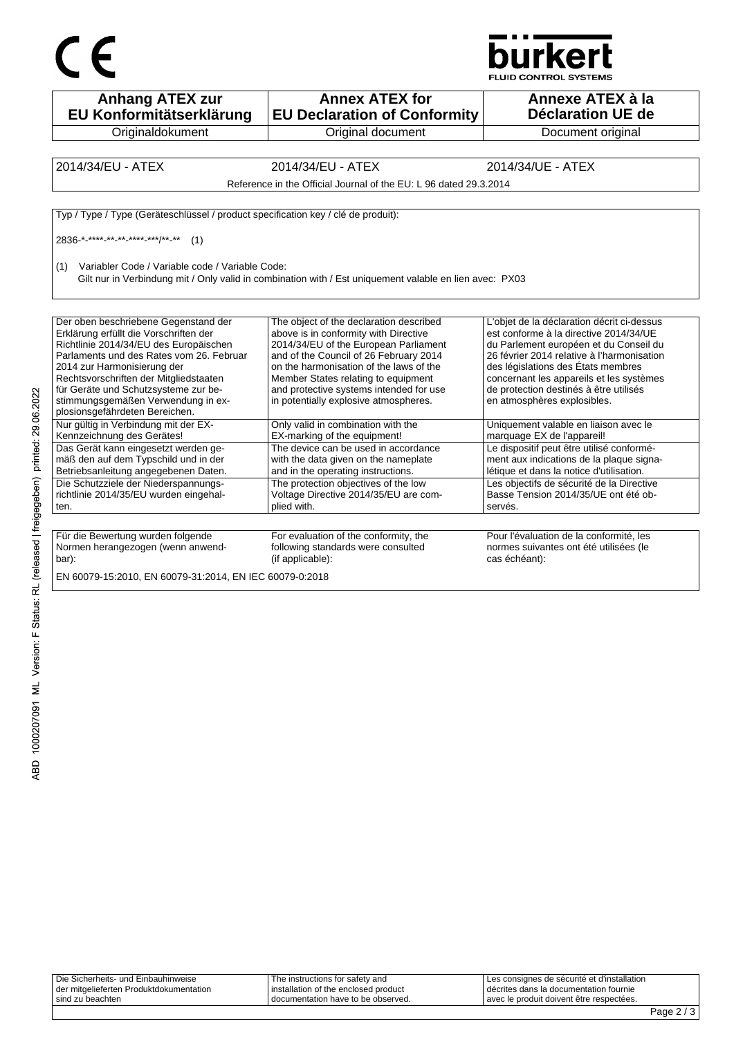



| <b>Anhang ATEX zur</b><br>EU Konformitätserklärung                                           | <b>Annex ATEX for</b><br><b>EU Declaration of Conformity</b>                                            | Annexe ATEX à la<br><b>Déclaration UE de</b>                                       |
|----------------------------------------------------------------------------------------------|---------------------------------------------------------------------------------------------------------|------------------------------------------------------------------------------------|
| Originaldokument                                                                             | Original document                                                                                       | Document original                                                                  |
|                                                                                              |                                                                                                         |                                                                                    |
| 2014/34/EU - ATEX                                                                            | 2014/34/EU - ATEX                                                                                       | 2014/34/UE - ATEX                                                                  |
|                                                                                              | Reference in the Official Journal of the EU: L 96 dated 29.3.2014                                       |                                                                                    |
| Typ / Type / Type (Geräteschlüssel / product specification key / clé de produit):            |                                                                                                         |                                                                                    |
|                                                                                              |                                                                                                         |                                                                                    |
| 2836-*-****-** <sub>-</sub> ** <sub>-</sub> ***** <sub>-</sub> ***/** <sub>-</sub> **<br>(1) |                                                                                                         |                                                                                    |
| Variabler Code / Variable code / Variable Code:<br>(1)                                       |                                                                                                         |                                                                                    |
|                                                                                              | Gilt nur in Verbindung mit / Only valid in combination with / Est uniquement valable en lien avec: PX03 |                                                                                    |
|                                                                                              |                                                                                                         |                                                                                    |
|                                                                                              |                                                                                                         |                                                                                    |
| Der oben beschriebene Gegenstand der                                                         | The object of the declaration described                                                                 | L'objet de la déclaration décrit ci-dessus                                         |
| Erklärung erfüllt die Vorschriften der                                                       | above is in conformity with Directive                                                                   | est conforme à la directive 2014/34/UE                                             |
| Richtlinie 2014/34/EU des Europäischen                                                       | 2014/34/EU of the European Parliament                                                                   | du Parlement européen et du Conseil du                                             |
| Parlaments und des Rates vom 26. Februar<br>2014 zur Harmonisierung der                      | and of the Council of 26 February 2014<br>on the harmonisation of the laws of the                       | 26 février 2014 relative à l'harmonisation<br>des législations des États membres   |
| Rechtsvorschriften der Mitgliedstaaten                                                       |                                                                                                         |                                                                                    |
| für Geräte und Schutzsysteme zur be-                                                         | Member States relating to equipment<br>and protective systems intended for use                          | concernant les appareils et les systèmes<br>de protection destinés à être utilisés |
| stimmungsgemäßen Verwendung in ex-                                                           | in potentially explosive atmospheres.                                                                   | en atmosphères explosibles.                                                        |
| plosionsgefährdeten Bereichen.                                                               |                                                                                                         |                                                                                    |
| Nur gültig in Verbindung mit der EX-                                                         | Only valid in combination with the                                                                      | Uniquement valable en liaison avec le                                              |
| Kennzeichnung des Gerätes!                                                                   | EX-marking of the equipment!                                                                            | marquage EX de l'appareil!                                                         |
| Das Gerät kann eingesetzt werden ge-                                                         | The device can be used in accordance                                                                    | Le dispositif peut être utilisé conformé-                                          |
| mäß den auf dem Typschild und in der                                                         | with the data given on the nameplate                                                                    | ment aux indications de la plaque signa-                                           |
| Betriebsanleitung angegebenen Daten.                                                         | and in the operating instructions.                                                                      | létique et dans la notice d'utilisation.                                           |
| Die Schutzziele der Niederspannungs-                                                         | The protection objectives of the low                                                                    | Les objectifs de sécurité de la Directive                                          |
| richtlinie 2014/35/EU wurden eingehal-                                                       | Voltage Directive 2014/35/EU are com-                                                                   | Basse Tension 2014/35/UE ont été ob-                                               |
| ten.                                                                                         | plied with.                                                                                             | servés.                                                                            |
|                                                                                              |                                                                                                         |                                                                                    |
| Für die Bewertung wurden folgende                                                            | For evaluation of the conformity, the                                                                   | Pour l'évaluation de la conformité, les                                            |
| Normen herangezogen (wenn anwend-                                                            | following standards were consulted                                                                      | normes suivantes ont été utilisées (le                                             |
| bar):                                                                                        | (if applicable):                                                                                        | cas échéant):                                                                      |
|                                                                                              |                                                                                                         |                                                                                    |
| EN 60079-15:2010, EN 60079-31:2014, EN IEC 60079-0:2018                                      |                                                                                                         |                                                                                    |

| Die Sicherheits- und Einbauhinweise     | The instructions for safety and      | Les consignes de sécurité et d'installation |  |
|-----------------------------------------|--------------------------------------|---------------------------------------------|--|
| der mitgelieferten Produktdokumentation | installation of the enclosed product | décrites dans la documentation fournie      |  |
| ' sind zu beachten                      | I documentation have to be observed. | avec le produit doivent être respectées.    |  |
|                                         |                                      |                                             |  |